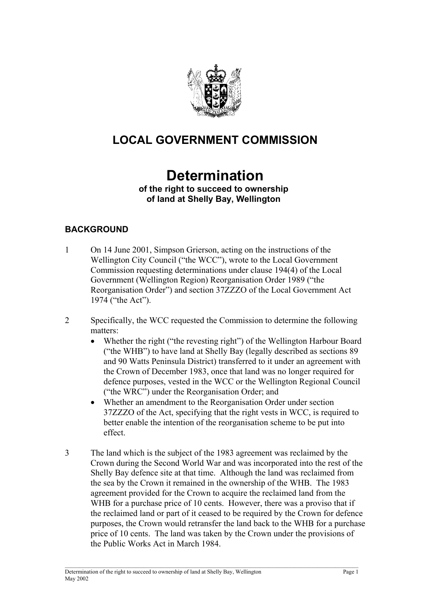

# **LOCAL GOVERNMENT COMMISSION**

# **Determination**

#### **of the right to succeed to ownership of land at Shelly Bay, Wellington**

# **BACKGROUND**

- 1 On 14 June 2001, Simpson Grierson, acting on the instructions of the Wellington City Council ("the WCC"), wrote to the Local Government Commission requesting determinations under clause 194(4) of the Local Government (Wellington Region) Reorganisation Order 1989 ("the Reorganisation Order") and section 37ZZZO of the Local Government Act 1974 ("the Act").
- 2 Specifically, the WCC requested the Commission to determine the following matters:
	- Whether the right ("the revesting right") of the Wellington Harbour Board ("the WHB") to have land at Shelly Bay (legally described as sections 89 and 90 Watts Peninsula District) transferred to it under an agreement with the Crown of December 1983, once that land was no longer required for defence purposes, vested in the WCC or the Wellington Regional Council ("the WRC") under the Reorganisation Order; and
	- Whether an amendment to the Reorganisation Order under section 37ZZZO of the Act, specifying that the right vests in WCC, is required to better enable the intention of the reorganisation scheme to be put into effect.
- 3 The land which is the subject of the 1983 agreement was reclaimed by the Crown during the Second World War and was incorporated into the rest of the Shelly Bay defence site at that time. Although the land was reclaimed from the sea by the Crown it remained in the ownership of the WHB. The 1983 agreement provided for the Crown to acquire the reclaimed land from the WHB for a purchase price of 10 cents. However, there was a proviso that if the reclaimed land or part of it ceased to be required by the Crown for defence purposes, the Crown would retransfer the land back to the WHB for a purchase price of 10 cents. The land was taken by the Crown under the provisions of the Public Works Act in March 1984.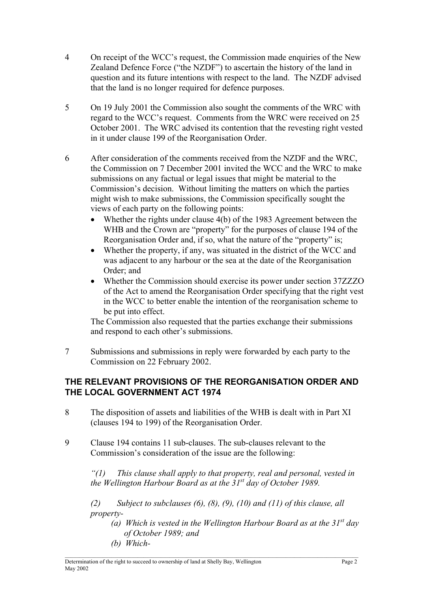- 4 On receipt of the WCC's request, the Commission made enquiries of the New Zealand Defence Force ("the NZDF") to ascertain the history of the land in question and its future intentions with respect to the land. The NZDF advised that the land is no longer required for defence purposes.
- 5 On 19 July 2001 the Commission also sought the comments of the WRC with regard to the WCC's request. Comments from the WRC were received on 25 October 2001. The WRC advised its contention that the revesting right vested in it under clause 199 of the Reorganisation Order.
- 6 After consideration of the comments received from the NZDF and the WRC, the Commission on 7 December 2001 invited the WCC and the WRC to make submissions on any factual or legal issues that might be material to the Commission's decision. Without limiting the matters on which the parties might wish to make submissions, the Commission specifically sought the views of each party on the following points:
	- Whether the rights under clause 4(b) of the 1983 Agreement between the WHB and the Crown are "property" for the purposes of clause 194 of the Reorganisation Order and, if so, what the nature of the "property" is;
	- Whether the property, if any, was situated in the district of the WCC and was adjacent to any harbour or the sea at the date of the Reorganisation Order; and
	- Whether the Commission should exercise its power under section 37ZZZO of the Act to amend the Reorganisation Order specifying that the right vest in the WCC to better enable the intention of the reorganisation scheme to be put into effect.

The Commission also requested that the parties exchange their submissions and respond to each other's submissions.

7 Submissions and submissions in reply were forwarded by each party to the Commission on 22 February 2002.

#### **THE RELEVANT PROVISIONS OF THE REORGANISATION ORDER AND THE LOCAL GOVERNMENT ACT 1974**

- 8 The disposition of assets and liabilities of the WHB is dealt with in Part XI (clauses 194 to 199) of the Reorganisation Order.
- 9 Clause 194 contains 11 sub-clauses. The sub-clauses relevant to the Commission's consideration of the issue are the following:

*"(1) This clause shall apply to that property, real and personal, vested in the Wellington Harbour Board as at the 31st day of October 1989.*

*(2) Subject to subclauses (6), (8), (9), (10) and (11) of this clause, all property-* 

- *(a) Which is vested in the Wellington Harbour Board as at the 31st day of October 1989; and*
- *(b) Which-*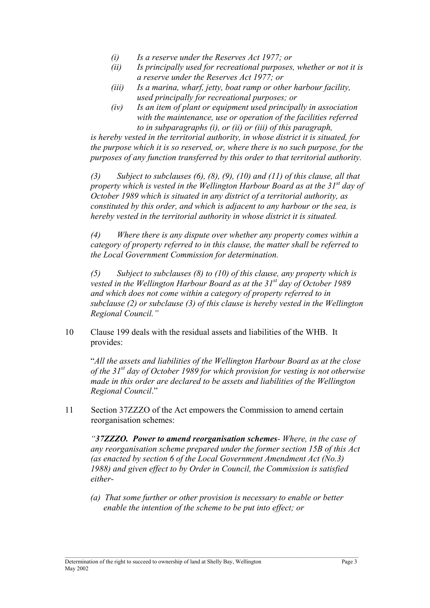- *(i) Is a reserve under the Reserves Act 1977; or*
- *(ii) Is principally used for recreational purposes, whether or not it is a reserve under the Reserves Act 1977; or*
- *(iii) Is a marina, wharf, jetty, boat ramp or other harbour facility, used principally for recreational purposes; or*
- *(iv) Is an item of plant or equipment used principally in association with the maintenance, use or operation of the facilities referred to in subparagraphs (i), or (ii) or (iii) of this paragraph,*

*is hereby vested in the territorial authority, in whose district it is situated, for the purpose which it is so reserved, or, where there is no such purpose, for the purposes of any function transferred by this order to that territorial authority.* 

*(3) Subject to subclauses (6), (8), (9), (10) and (11) of this clause, all that property which is vested in the Wellington Harbour Board as at the 31st day of October 1989 which is situated in any district of a territorial authority, as constituted by this order, and which is adjacent to any harbour or the sea, is hereby vested in the territorial authority in whose district it is situated.* 

*(4) Where there is any dispute over whether any property comes within a category of property referred to in this clause, the matter shall be referred to the Local Government Commission for determination.* 

*(5) Subject to subclauses (8) to (10) of this clause, any property which is vested in the Wellington Harbour Board as at the 31st day of October 1989 and which does not come within a category of property referred to in subclause (2) or subclause (3) of this clause is hereby vested in the Wellington Regional Council."* 

10 Clause 199 deals with the residual assets and liabilities of the WHB. It provides:

"*All the assets and liabilities of the Wellington Harbour Board as at the close of the 31st day of October 1989 for which provision for vesting is not otherwise made in this order are declared to be assets and liabilities of the Wellington Regional Council*."

11 Section 37ZZZO of the Act empowers the Commission to amend certain reorganisation schemes:

*"37ZZZO. Power to amend reorganisation schemes- Where, in the case of any reorganisation scheme prepared under the former section 15B of this Act (as enacted by section 6 of the Local Government Amendment Act (No.3) 1988) and given effect to by Order in Council, the Commission is satisfied either-* 

*(a) That some further or other provision is necessary to enable or better enable the intention of the scheme to be put into effect; or* 

 $\_$  , and the state of the state of the state of the state of the state of the state of the state of the state of the state of the state of the state of the state of the state of the state of the state of the state of the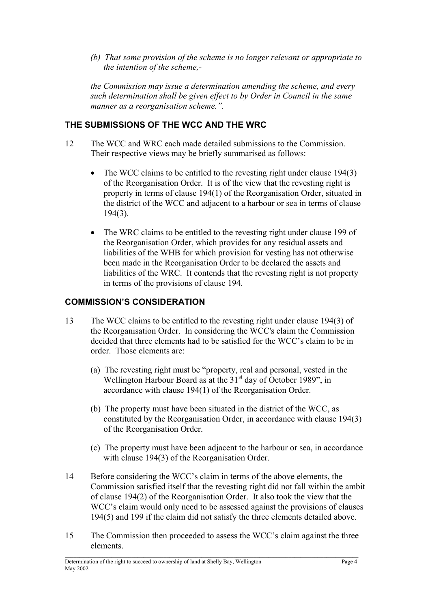*(b) That some provision of the scheme is no longer relevant or appropriate to the intention of the scheme,-* 

 *the Commission may issue a determination amending the scheme, and every such determination shall be given effect to by Order in Council in the same manner as a reorganisation scheme.".* 

# **THE SUBMISSIONS OF THE WCC AND THE WRC**

- 12 The WCC and WRC each made detailed submissions to the Commission. Their respective views may be briefly summarised as follows:
	- The WCC claims to be entitled to the revesting right under clause 194(3) of the Reorganisation Order. It is of the view that the revesting right is property in terms of clause 194(1) of the Reorganisation Order, situated in the district of the WCC and adjacent to a harbour or sea in terms of clause 194(3).
	- The WRC claims to be entitled to the revesting right under clause 199 of the Reorganisation Order, which provides for any residual assets and liabilities of the WHB for which provision for vesting has not otherwise been made in the Reorganisation Order to be declared the assets and liabilities of the WRC. It contends that the revesting right is not property in terms of the provisions of clause 194.

### **COMMISSION'S CONSIDERATION**

- 13 The WCC claims to be entitled to the revesting right under clause 194(3) of the Reorganisation Order. In considering the WCC's claim the Commission decided that three elements had to be satisfied for the WCC's claim to be in order. Those elements are:
	- (a) The revesting right must be "property, real and personal, vested in the Wellington Harbour Board as at the  $31<sup>st</sup>$  day of October 1989", in accordance with clause 194(1) of the Reorganisation Order.
	- (b) The property must have been situated in the district of the WCC, as constituted by the Reorganisation Order, in accordance with clause 194(3) of the Reorganisation Order.
	- (c) The property must have been adjacent to the harbour or sea, in accordance with clause 194(3) of the Reorganisation Order.
- 14 Before considering the WCC's claim in terms of the above elements, the Commission satisfied itself that the revesting right did not fall within the ambit of clause 194(2) of the Reorganisation Order. It also took the view that the WCC's claim would only need to be assessed against the provisions of clauses 194(5) and 199 if the claim did not satisfy the three elements detailed above.
- 15 The Commission then proceeded to assess the WCC's claim against the three elements.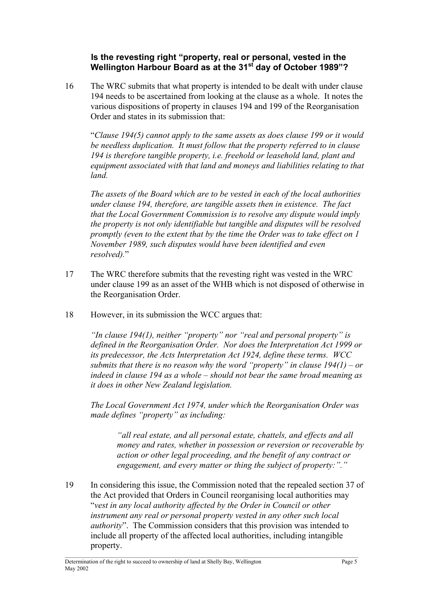#### **Is the revesting right "property, real or personal, vested in the Wellington Harbour Board as at the 31st day of October 1989"?**

16 The WRC submits that what property is intended to be dealt with under clause 194 needs to be ascertained from looking at the clause as a whole. It notes the various dispositions of property in clauses 194 and 199 of the Reorganisation Order and states in its submission that:

 "*Clause 194(5) cannot apply to the same assets as does clause 199 or it would be needless duplication. It must follow that the property referred to in clause 194 is therefore tangible property, i.e. freehold or leasehold land, plant and equipment associated with that land and moneys and liabilities relating to that land.* 

 *The assets of the Board which are to be vested in each of the local authorities under clause 194, therefore, are tangible assets then in existence. The fact that the Local Government Commission is to resolve any dispute would imply the property is not only identifiable but tangible and disputes will be resolved promptly (even to the extent that by the time the Order was to take effect on 1 November 1989, such disputes would have been identified and even resolved).*"

- 17 The WRC therefore submits that the revesting right was vested in the WRC under clause 199 as an asset of the WHB which is not disposed of otherwise in the Reorganisation Order.
- 18 However, in its submission the WCC argues that:

*"In clause 194(1), neither "property" nor "real and personal property" is defined in the Reorganisation Order. Nor does the Interpretation Act 1999 or its predecessor, the Acts Interpretation Act 1924, define these terms. WCC submits that there is no reason why the word "property" in clause 194(1) – or indeed in clause 194 as a whole – should not bear the same broad meaning as it does in other New Zealand legislation.* 

 *The Local Government Act 1974, under which the Reorganisation Order was made defines "property" as including:*

*"all real estate, and all personal estate, chattels, and effects and all money and rates, whether in possession or reversion or recoverable by action or other legal proceeding, and the benefit of any contract or engagement, and every matter or thing the subject of property:"."* 

19 In considering this issue, the Commission noted that the repealed section 37 of the Act provided that Orders in Council reorganising local authorities may "*vest in any local authority affected by the Order in Council or other instrument any real or personal property vested in any other such local authority*". The Commission considers that this provision was intended to include all property of the affected local authorities, including intangible property.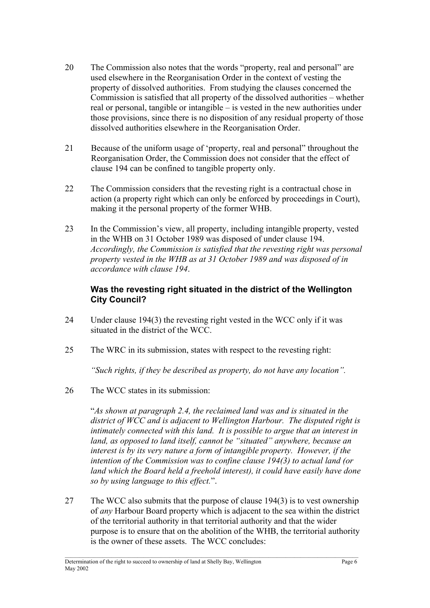- 20 The Commission also notes that the words "property, real and personal" are used elsewhere in the Reorganisation Order in the context of vesting the property of dissolved authorities. From studying the clauses concerned the Commission is satisfied that all property of the dissolved authorities – whether real or personal, tangible or intangible – is vested in the new authorities under those provisions, since there is no disposition of any residual property of those dissolved authorities elsewhere in the Reorganisation Order.
- 21 Because of the uniform usage of 'property, real and personal" throughout the Reorganisation Order, the Commission does not consider that the effect of clause 194 can be confined to tangible property only.
- 22 The Commission considers that the revesting right is a contractual chose in action (a property right which can only be enforced by proceedings in Court), making it the personal property of the former WHB.
- 23 In the Commission's view, all property, including intangible property, vested in the WHB on 31 October 1989 was disposed of under clause 194. *Accordingly, the Commission is satisfied that the revesting right was personal property vested in the WHB as at 31 October 1989 and was disposed of in accordance with clause 194*.

#### **Was the revesting right situated in the district of the Wellington City Council?**

- 24 Under clause 194(3) the revesting right vested in the WCC only if it was situated in the district of the WCC.
- 25 The WRC in its submission, states with respect to the revesting right:

*"Such rights, if they be described as property, do not have any location".* 

26 The WCC states in its submission:

 "*As shown at paragraph 2.4, the reclaimed land was and is situated in the district of WCC and is adjacent to Wellington Harbour. The disputed right is intimately connected with this land. It is possible to argue that an interest in land, as opposed to land itself, cannot be "situated" anywhere, because an interest is by its very nature a form of intangible property. However, if the intention of the Commission was to confine clause 194(3) to actual land (or land which the Board held a freehold interest), it could have easily have done so by using language to this effect.*".

27 The WCC also submits that the purpose of clause 194(3) is to vest ownership of *any* Harbour Board property which is adjacent to the sea within the district of the territorial authority in that territorial authority and that the wider purpose is to ensure that on the abolition of the WHB, the territorial authority is the owner of these assets. The WCC concludes: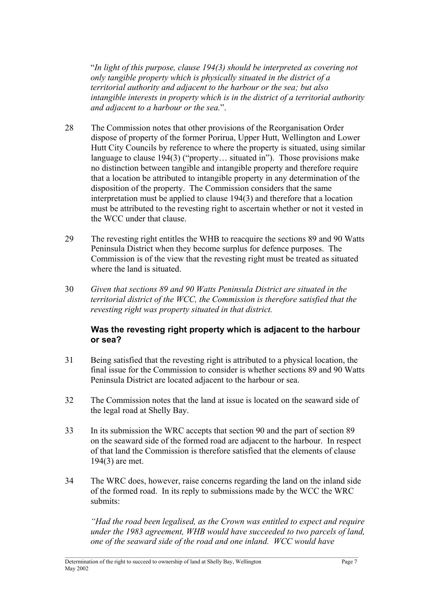"*In light of this purpose, clause 194(3) should be interpreted as covering not only tangible property which is physically situated in the district of a territorial authority and adjacent to the harbour or the sea; but also intangible interests in property which is in the district of a territorial authority and adjacent to a harbour or the sea.*".

- 28 The Commission notes that other provisions of the Reorganisation Order dispose of property of the former Porirua, Upper Hutt, Wellington and Lower Hutt City Councils by reference to where the property is situated, using similar language to clause 194(3) ("property… situated in"). Those provisions make no distinction between tangible and intangible property and therefore require that a location be attributed to intangible property in any determination of the disposition of the property. The Commission considers that the same interpretation must be applied to clause 194(3) and therefore that a location must be attributed to the revesting right to ascertain whether or not it vested in the WCC under that clause.
- 29 The revesting right entitles the WHB to reacquire the sections 89 and 90 Watts Peninsula District when they become surplus for defence purposes. The Commission is of the view that the revesting right must be treated as situated where the land is situated.
- 30 *Given that sections 89 and 90 Watts Peninsula District are situated in the territorial district of the WCC, the Commission is therefore satisfied that the revesting right was property situated in that district.*

#### **Was the revesting right property which is adjacent to the harbour or sea?**

- 31 Being satisfied that the revesting right is attributed to a physical location, the final issue for the Commission to consider is whether sections 89 and 90 Watts Peninsula District are located adjacent to the harbour or sea.
- 32 The Commission notes that the land at issue is located on the seaward side of the legal road at Shelly Bay.
- 33 In its submission the WRC accepts that section 90 and the part of section 89 on the seaward side of the formed road are adjacent to the harbour. In respect of that land the Commission is therefore satisfied that the elements of clause 194(3) are met.
- 34 The WRC does, however, raise concerns regarding the land on the inland side of the formed road. In its reply to submissions made by the WCC the WRC submits:

*"Had the road been legalised, as the Crown was entitled to expect and require under the 1983 agreement, WHB would have succeeded to two parcels of land, one of the seaward side of the road and one inland. WCC would have*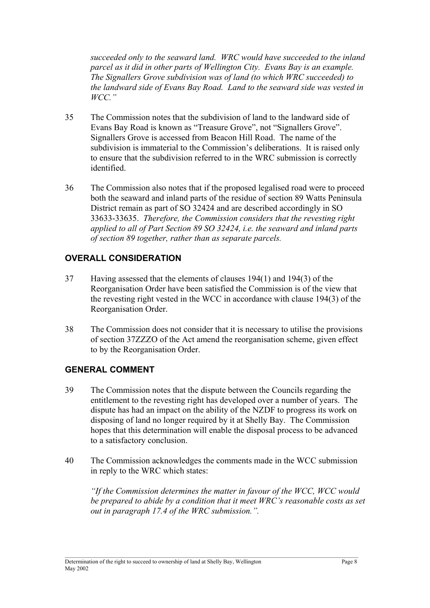*succeeded only to the seaward land. WRC would have succeeded to the inland parcel as it did in other parts of Wellington City. Evans Bay is an example. The Signallers Grove subdivision was of land (to which WRC succeeded) to the landward side of Evans Bay Road. Land to the seaward side was vested in WCC."* 

- 35 The Commission notes that the subdivision of land to the landward side of Evans Bay Road is known as "Treasure Grove", not "Signallers Grove". Signallers Grove is accessed from Beacon Hill Road. The name of the subdivision is immaterial to the Commission's deliberations. It is raised only to ensure that the subdivision referred to in the WRC submission is correctly identified.
- 36 The Commission also notes that if the proposed legalised road were to proceed both the seaward and inland parts of the residue of section 89 Watts Peninsula District remain as part of SO 32424 and are described accordingly in SO 33633-33635. *Therefore, the Commission considers that the revesting right applied to all of Part Section 89 SO 32424, i.e. the seaward and inland parts of section 89 together, rather than as separate parcels.*

# **OVERALL CONSIDERATION**

- 37 Having assessed that the elements of clauses 194(1) and 194(3) of the Reorganisation Order have been satisfied the Commission is of the view that the revesting right vested in the WCC in accordance with clause 194(3) of the Reorganisation Order.
- 38 The Commission does not consider that it is necessary to utilise the provisions of section 37ZZZO of the Act amend the reorganisation scheme, given effect to by the Reorganisation Order.

#### **GENERAL COMMENT**

- 39 The Commission notes that the dispute between the Councils regarding the entitlement to the revesting right has developed over a number of years. The dispute has had an impact on the ability of the NZDF to progress its work on disposing of land no longer required by it at Shelly Bay. The Commission hopes that this determination will enable the disposal process to be advanced to a satisfactory conclusion.
- 40 The Commission acknowledges the comments made in the WCC submission in reply to the WRC which states:

*"If the Commission determines the matter in favour of the WCC, WCC would be prepared to abide by a condition that it meet WRC's reasonable costs as set out in paragraph 17.4 of the WRC submission.".*